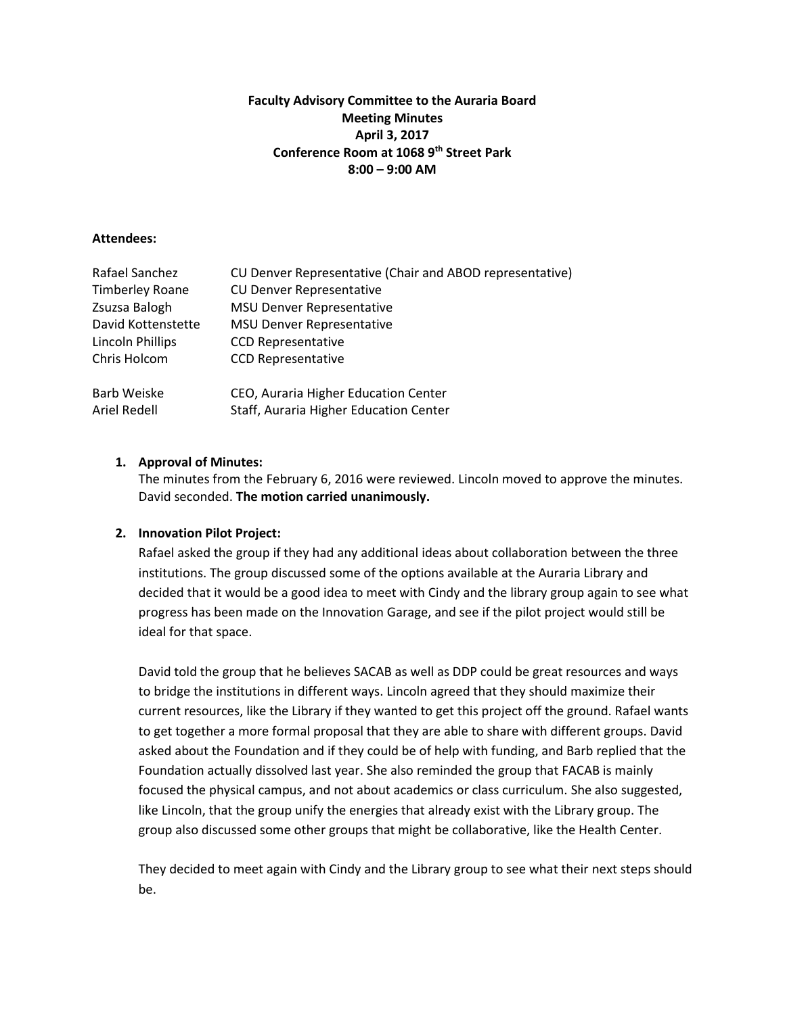## **Faculty Advisory Committee to the Auraria Board Meeting Minutes April 3, 2017 Conference Room at 1068 9th Street Park 8:00 – 9:00 AM**

#### **Attendees:**

| Rafael Sanchez          | CU Denver Representative (Chair and ABOD representative) |
|-------------------------|----------------------------------------------------------|
| <b>Timberley Roane</b>  | <b>CU Denver Representative</b>                          |
| Zsuzsa Balogh           | <b>MSU Denver Representative</b>                         |
| David Kottenstette      | <b>MSU Denver Representative</b>                         |
| <b>Lincoln Phillips</b> | <b>CCD Representative</b>                                |
| Chris Holcom            | <b>CCD Representative</b>                                |
| Barb Weiske             | CEO, Auraria Higher Education Center                     |
| Ariel Redell            | Staff, Auraria Higher Education Center                   |

## **1. Approval of Minutes:**

The minutes from the February 6, 2016 were reviewed. Lincoln moved to approve the minutes. David seconded. **The motion carried unanimously.**

## **2. Innovation Pilot Project:**

Rafael asked the group if they had any additional ideas about collaboration between the three institutions. The group discussed some of the options available at the Auraria Library and decided that it would be a good idea to meet with Cindy and the library group again to see what progress has been made on the Innovation Garage, and see if the pilot project would still be ideal for that space.

David told the group that he believes SACAB as well as DDP could be great resources and ways to bridge the institutions in different ways. Lincoln agreed that they should maximize their current resources, like the Library if they wanted to get this project off the ground. Rafael wants to get together a more formal proposal that they are able to share with different groups. David asked about the Foundation and if they could be of help with funding, and Barb replied that the Foundation actually dissolved last year. She also reminded the group that FACAB is mainly focused the physical campus, and not about academics or class curriculum. She also suggested, like Lincoln, that the group unify the energies that already exist with the Library group. The group also discussed some other groups that might be collaborative, like the Health Center.

They decided to meet again with Cindy and the Library group to see what their next steps should be.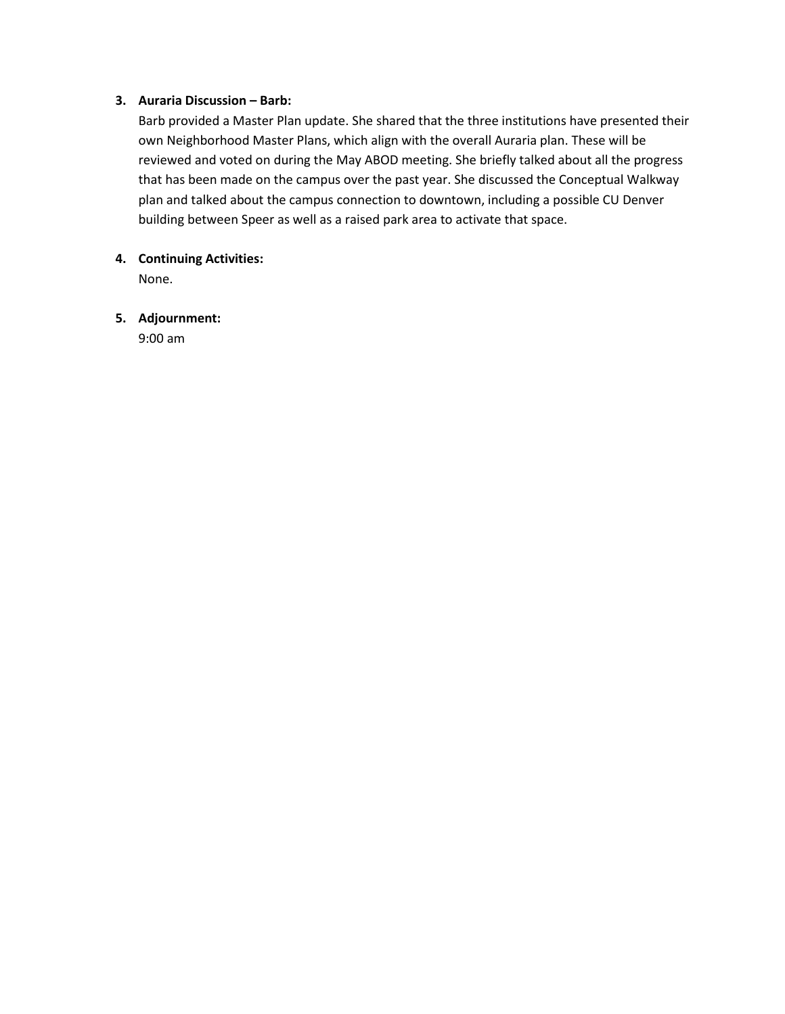## **3. Auraria Discussion – Barb:**

Barb provided a Master Plan update. She shared that the three institutions have presented their own Neighborhood Master Plans, which align with the overall Auraria plan. These will be reviewed and voted on during the May ABOD meeting. She briefly talked about all the progress that has been made on the campus over the past year. She discussed the Conceptual Walkway plan and talked about the campus connection to downtown, including a possible CU Denver building between Speer as well as a raised park area to activate that space.

## **4. Continuing Activities:**

None.

### **5. Adjournment:**

9:00 am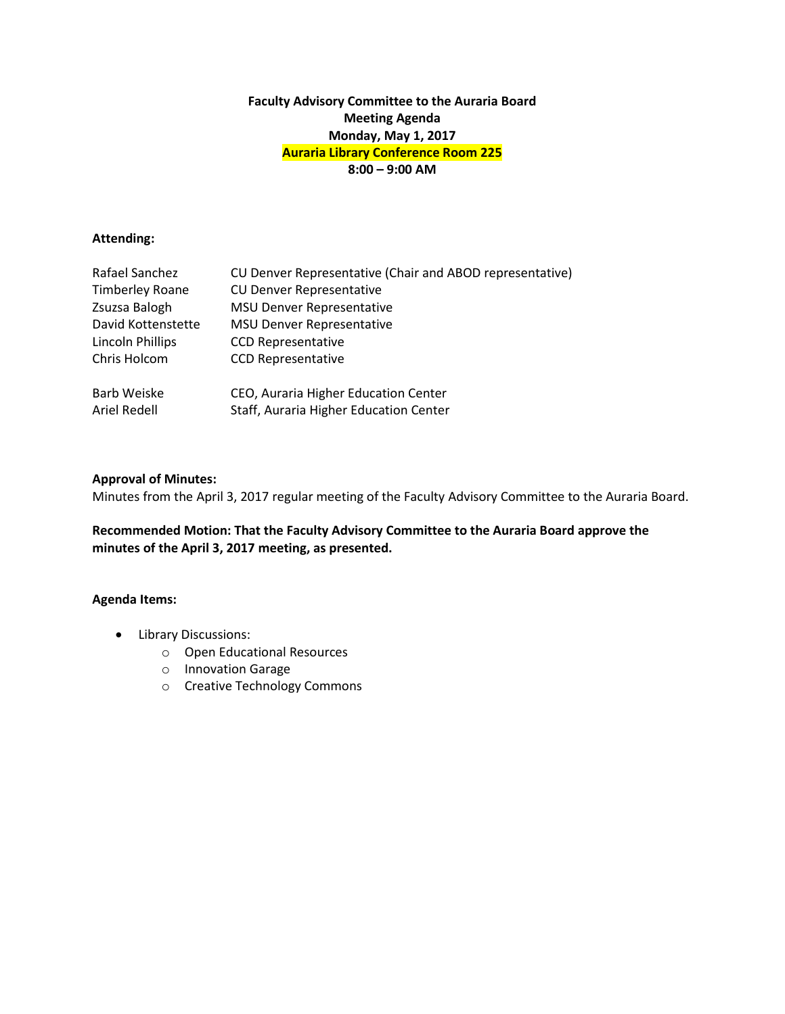## **Faculty Advisory Committee to the Auraria Board Meeting Agenda Monday, May 1, 2017 Auraria Library Conference Room 225 8:00 – 9:00 AM**

### **Attending:**

| Rafael Sanchez         | CU Denver Representative (Chair and ABOD representative) |
|------------------------|----------------------------------------------------------|
| <b>Timberley Roane</b> | <b>CU Denver Representative</b>                          |
| Zsuzsa Balogh          | <b>MSU Denver Representative</b>                         |
| David Kottenstette     | <b>MSU Denver Representative</b>                         |
| Lincoln Phillips       | <b>CCD Representative</b>                                |
| Chris Holcom           | <b>CCD Representative</b>                                |
|                        |                                                          |
| Barb Weiske            | CEO, Auraria Higher Education Center                     |
| Ariel Redell           | Staff, Auraria Higher Education Center                   |

## **Approval of Minutes:**

Minutes from the April 3, 2017 regular meeting of the Faculty Advisory Committee to the Auraria Board.

**Recommended Motion: That the Faculty Advisory Committee to the Auraria Board approve the minutes of the April 3, 2017 meeting, as presented.**

## **Agenda Items:**

- Library Discussions:
	- o Open Educational Resources
	- o Innovation Garage
	- o Creative Technology Commons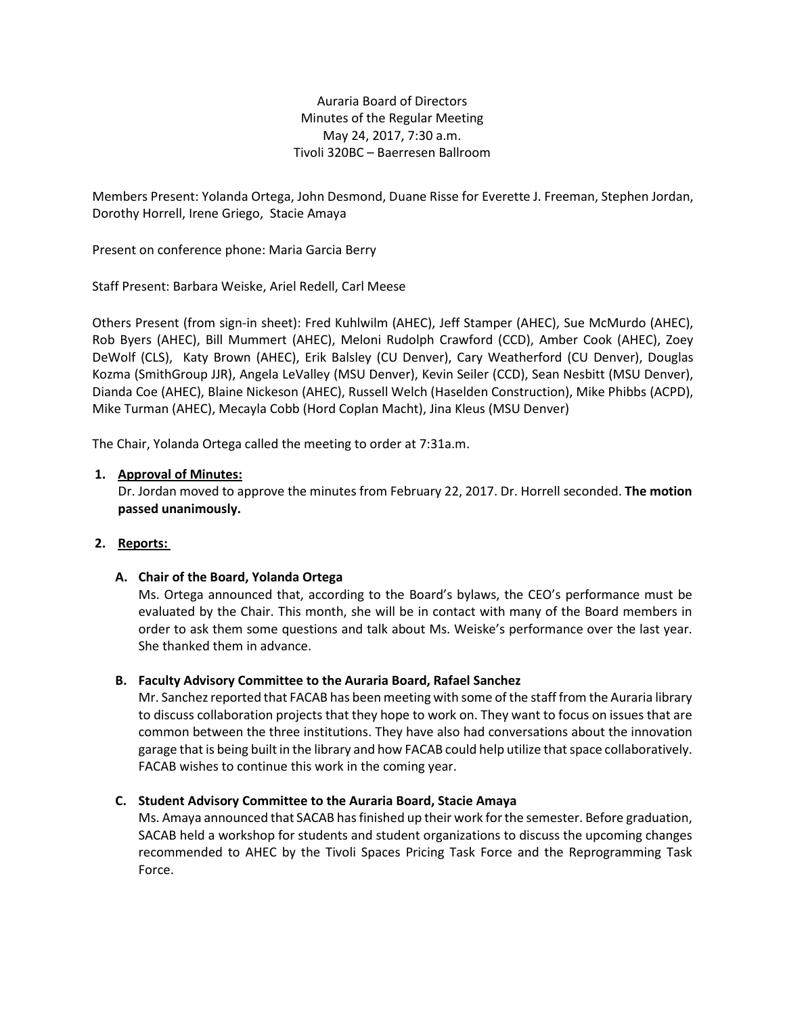Auraria Board of Directors Minutes of the Regular Meeting May 24, 2017, 7:30 a.m. Tivoli 320BC – Baerresen Ballroom

Members Present: Yolanda Ortega, John Desmond, Duane Risse for Everette J. Freeman, Stephen Jordan, Dorothy Horrell, Irene Griego, Stacie Amaya

Present on conference phone: Maria Garcia Berry

Staff Present: Barbara Weiske, Ariel Redell, Carl Meese

Others Present (from sign-in sheet): Fred Kuhlwilm (AHEC), Jeff Stamper (AHEC), Sue McMurdo (AHEC), Rob Byers (AHEC), Bill Mummert (AHEC), Meloni Rudolph Crawford (CCD), Amber Cook (AHEC), Zoey DeWolf (CLS), Katy Brown (AHEC), Erik Balsley (CU Denver), Cary Weatherford (CU Denver), Douglas Kozma (SmithGroup JJR), Angela LeValley (MSU Denver), Kevin Seiler (CCD), Sean Nesbitt (MSU Denver), Dianda Coe (AHEC), Blaine Nickeson (AHEC), Russell Welch (Haselden Construction), Mike Phibbs (ACPD), Mike Turman (AHEC), Mecayla Cobb (Hord Coplan Macht), Jina Kleus (MSU Denver)

The Chair, Yolanda Ortega called the meeting to order at 7:31a.m.

### **1. Approval of Minutes:**

Dr. Jordan moved to approve the minutes from February 22, 2017. Dr. Horrell seconded. **The motion passed unanimously.** 

## **2. Reports:**

## **A. Chair of the Board, Yolanda Ortega**

Ms. Ortega announced that, according to the Board's bylaws, the CEO's performance must be evaluated by the Chair. This month, she will be in contact with many of the Board members in order to ask them some questions and talk about Ms. Weiske's performance over the last year. She thanked them in advance.

## **B. Faculty Advisory Committee to the Auraria Board, Rafael Sanchez**

Mr. Sanchez reported that FACAB has been meeting with some of the staff from the Auraria library to discuss collaboration projects that they hope to work on. They want to focus on issues that are common between the three institutions. They have also had conversations about the innovation garage that is being built in the library and how FACAB could help utilize that space collaboratively. FACAB wishes to continue this work in the coming year.

#### **C. Student Advisory Committee to the Auraria Board, Stacie Amaya**

Ms. Amaya announced that SACAB has finished up their work for the semester. Before graduation, SACAB held a workshop for students and student organizations to discuss the upcoming changes recommended to AHEC by the Tivoli Spaces Pricing Task Force and the Reprogramming Task Force.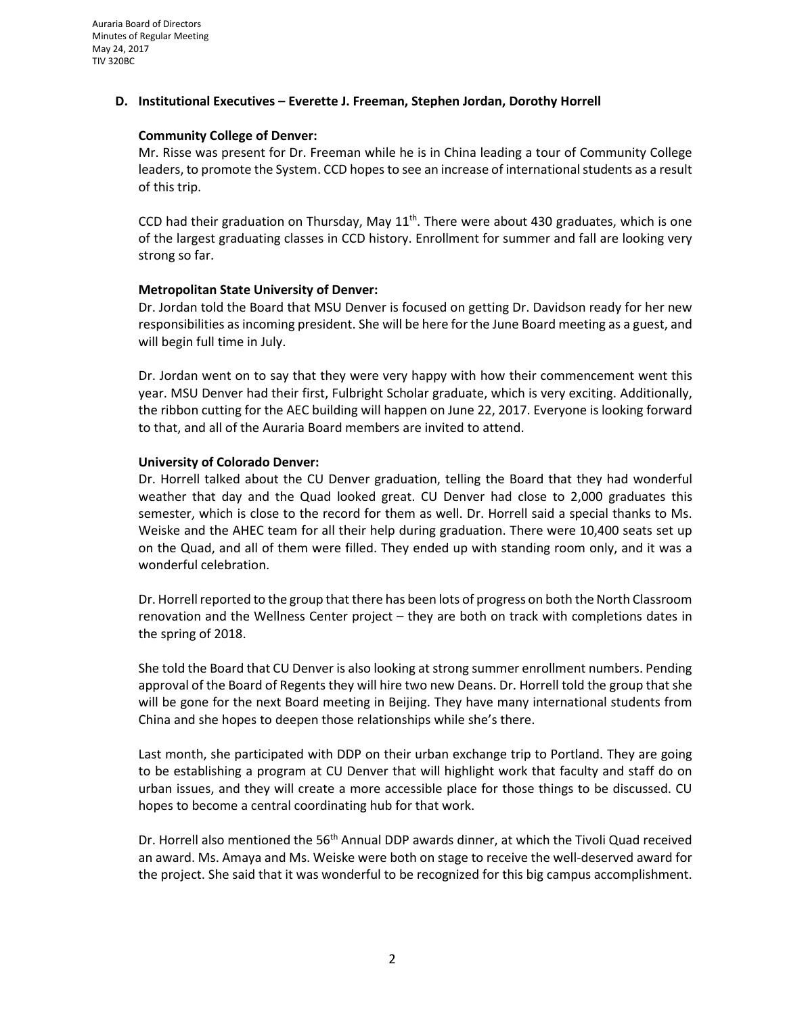### **D. Institutional Executives – Everette J. Freeman, Stephen Jordan, Dorothy Horrell**

### **Community College of Denver:**

Mr. Risse was present for Dr. Freeman while he is in China leading a tour of Community College leaders, to promote the System. CCD hopes to see an increase of international students as a result of this trip.

CCD had their graduation on Thursday, May  $11<sup>th</sup>$ . There were about 430 graduates, which is one of the largest graduating classes in CCD history. Enrollment for summer and fall are looking very strong so far.

### **Metropolitan State University of Denver:**

Dr. Jordan told the Board that MSU Denver is focused on getting Dr. Davidson ready for her new responsibilities as incoming president. She will be here for the June Board meeting as a guest, and will begin full time in July.

Dr. Jordan went on to say that they were very happy with how their commencement went this year. MSU Denver had their first, Fulbright Scholar graduate, which is very exciting. Additionally, the ribbon cutting for the AEC building will happen on June 22, 2017. Everyone is looking forward to that, and all of the Auraria Board members are invited to attend.

### **University of Colorado Denver:**

Dr. Horrell talked about the CU Denver graduation, telling the Board that they had wonderful weather that day and the Quad looked great. CU Denver had close to 2,000 graduates this semester, which is close to the record for them as well. Dr. Horrell said a special thanks to Ms. Weiske and the AHEC team for all their help during graduation. There were 10,400 seats set up on the Quad, and all of them were filled. They ended up with standing room only, and it was a wonderful celebration.

Dr. Horrell reported to the group that there has been lots of progress on both the North Classroom renovation and the Wellness Center project – they are both on track with completions dates in the spring of 2018.

She told the Board that CU Denver is also looking at strong summer enrollment numbers. Pending approval of the Board of Regents they will hire two new Deans. Dr. Horrell told the group that she will be gone for the next Board meeting in Beijing. They have many international students from China and she hopes to deepen those relationships while she's there.

Last month, she participated with DDP on their urban exchange trip to Portland. They are going to be establishing a program at CU Denver that will highlight work that faculty and staff do on urban issues, and they will create a more accessible place for those things to be discussed. CU hopes to become a central coordinating hub for that work.

Dr. Horrell also mentioned the 56<sup>th</sup> Annual DDP awards dinner, at which the Tivoli Quad received an award. Ms. Amaya and Ms. Weiske were both on stage to receive the well-deserved award for the project. She said that it was wonderful to be recognized for this big campus accomplishment.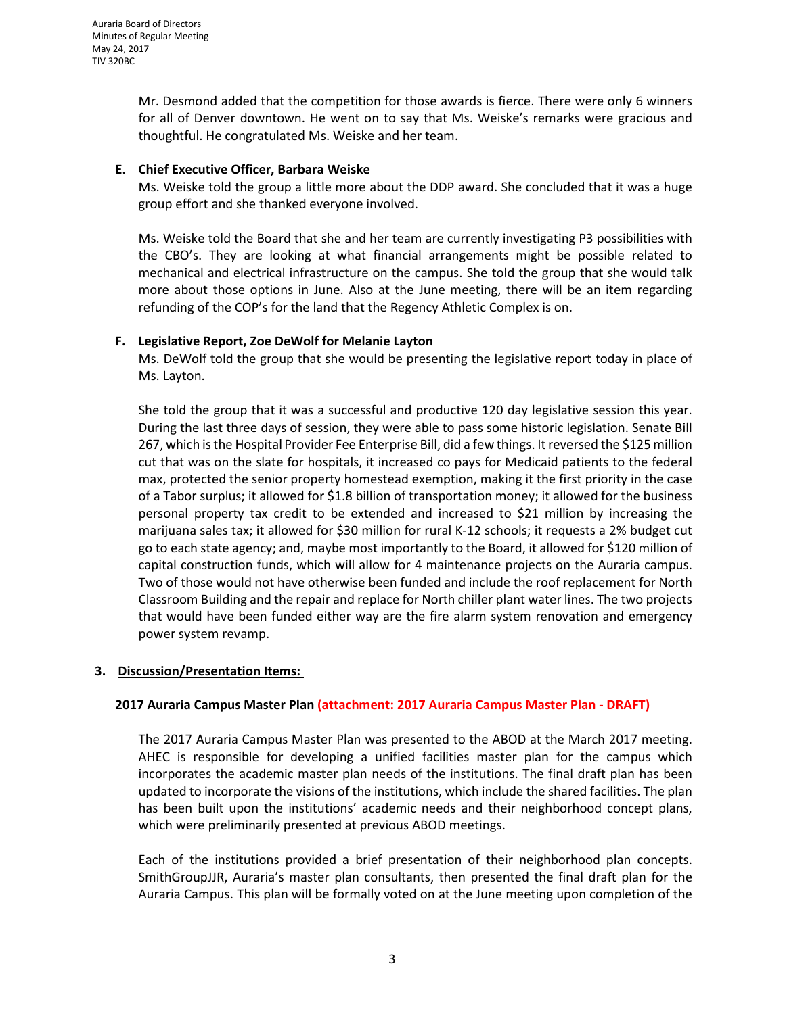Mr. Desmond added that the competition for those awards is fierce. There were only 6 winners for all of Denver downtown. He went on to say that Ms. Weiske's remarks were gracious and thoughtful. He congratulated Ms. Weiske and her team.

## **E. Chief Executive Officer, Barbara Weiske**

Ms. Weiske told the group a little more about the DDP award. She concluded that it was a huge group effort and she thanked everyone involved.

Ms. Weiske told the Board that she and her team are currently investigating P3 possibilities with the CBO's. They are looking at what financial arrangements might be possible related to mechanical and electrical infrastructure on the campus. She told the group that she would talk more about those options in June. Also at the June meeting, there will be an item regarding refunding of the COP's for the land that the Regency Athletic Complex is on.

## **F. Legislative Report, Zoe DeWolf for Melanie Layton**

Ms. DeWolf told the group that she would be presenting the legislative report today in place of Ms. Layton.

She told the group that it was a successful and productive 120 day legislative session this year. During the last three days of session, they were able to pass some historic legislation. Senate Bill 267, which isthe Hospital Provider Fee Enterprise Bill, did a few things. Itreversed the \$125 million cut that was on the slate for hospitals, it increased co pays for Medicaid patients to the federal max, protected the senior property homestead exemption, making it the first priority in the case of a Tabor surplus; it allowed for \$1.8 billion of transportation money; it allowed for the business personal property tax credit to be extended and increased to \$21 million by increasing the marijuana sales tax; it allowed for \$30 million for rural K-12 schools; it requests a 2% budget cut go to each state agency; and, maybe most importantly to the Board, it allowed for \$120 million of capital construction funds, which will allow for 4 maintenance projects on the Auraria campus. Two of those would not have otherwise been funded and include the roof replacement for North Classroom Building and the repair and replace for North chiller plant water lines. The two projects that would have been funded either way are the fire alarm system renovation and emergency power system revamp.

## **3. Discussion/Presentation Items:**

## **2017 Auraria Campus Master Plan (attachment: 2017 Auraria Campus Master Plan - DRAFT)**

The 2017 Auraria Campus Master Plan was presented to the ABOD at the March 2017 meeting. AHEC is responsible for developing a unified facilities master plan for the campus which incorporates the academic master plan needs of the institutions. The final draft plan has been updated to incorporate the visions of the institutions, which include the shared facilities. The plan has been built upon the institutions' academic needs and their neighborhood concept plans, which were preliminarily presented at previous ABOD meetings.

Each of the institutions provided a brief presentation of their neighborhood plan concepts. SmithGroupJJR, Auraria's master plan consultants, then presented the final draft plan for the Auraria Campus. This plan will be formally voted on at the June meeting upon completion of the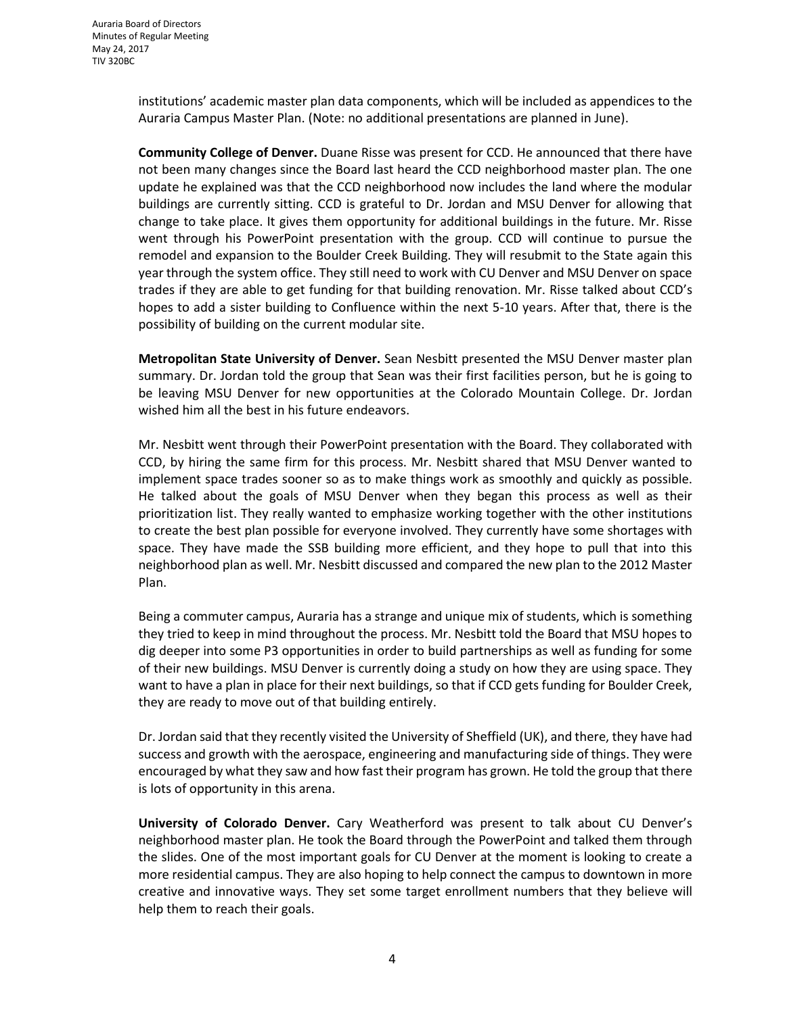institutions' academic master plan data components, which will be included as appendices to the Auraria Campus Master Plan. (Note: no additional presentations are planned in June).

**Community College of Denver.** Duane Risse was present for CCD. He announced that there have not been many changes since the Board last heard the CCD neighborhood master plan. The one update he explained was that the CCD neighborhood now includes the land where the modular buildings are currently sitting. CCD is grateful to Dr. Jordan and MSU Denver for allowing that change to take place. It gives them opportunity for additional buildings in the future. Mr. Risse went through his PowerPoint presentation with the group. CCD will continue to pursue the remodel and expansion to the Boulder Creek Building. They will resubmit to the State again this year through the system office. They still need to work with CU Denver and MSU Denver on space trades if they are able to get funding for that building renovation. Mr. Risse talked about CCD's hopes to add a sister building to Confluence within the next 5-10 years. After that, there is the possibility of building on the current modular site.

**Metropolitan State University of Denver.** Sean Nesbitt presented the MSU Denver master plan summary. Dr. Jordan told the group that Sean was their first facilities person, but he is going to be leaving MSU Denver for new opportunities at the Colorado Mountain College. Dr. Jordan wished him all the best in his future endeavors.

Mr. Nesbitt went through their PowerPoint presentation with the Board. They collaborated with CCD, by hiring the same firm for this process. Mr. Nesbitt shared that MSU Denver wanted to implement space trades sooner so as to make things work as smoothly and quickly as possible. He talked about the goals of MSU Denver when they began this process as well as their prioritization list. They really wanted to emphasize working together with the other institutions to create the best plan possible for everyone involved. They currently have some shortages with space. They have made the SSB building more efficient, and they hope to pull that into this neighborhood plan as well. Mr. Nesbitt discussed and compared the new plan to the 2012 Master Plan.

Being a commuter campus, Auraria has a strange and unique mix of students, which is something they tried to keep in mind throughout the process. Mr. Nesbitt told the Board that MSU hopes to dig deeper into some P3 opportunities in order to build partnerships as well as funding for some of their new buildings. MSU Denver is currently doing a study on how they are using space. They want to have a plan in place for their next buildings, so that if CCD gets funding for Boulder Creek, they are ready to move out of that building entirely.

Dr. Jordan said that they recently visited the University of Sheffield (UK), and there, they have had success and growth with the aerospace, engineering and manufacturing side of things. They were encouraged by what they saw and how fast their program has grown. He told the group that there is lots of opportunity in this arena.

**University of Colorado Denver.** Cary Weatherford was present to talk about CU Denver's neighborhood master plan. He took the Board through the PowerPoint and talked them through the slides. One of the most important goals for CU Denver at the moment is looking to create a more residential campus. They are also hoping to help connect the campus to downtown in more creative and innovative ways. They set some target enrollment numbers that they believe will help them to reach their goals.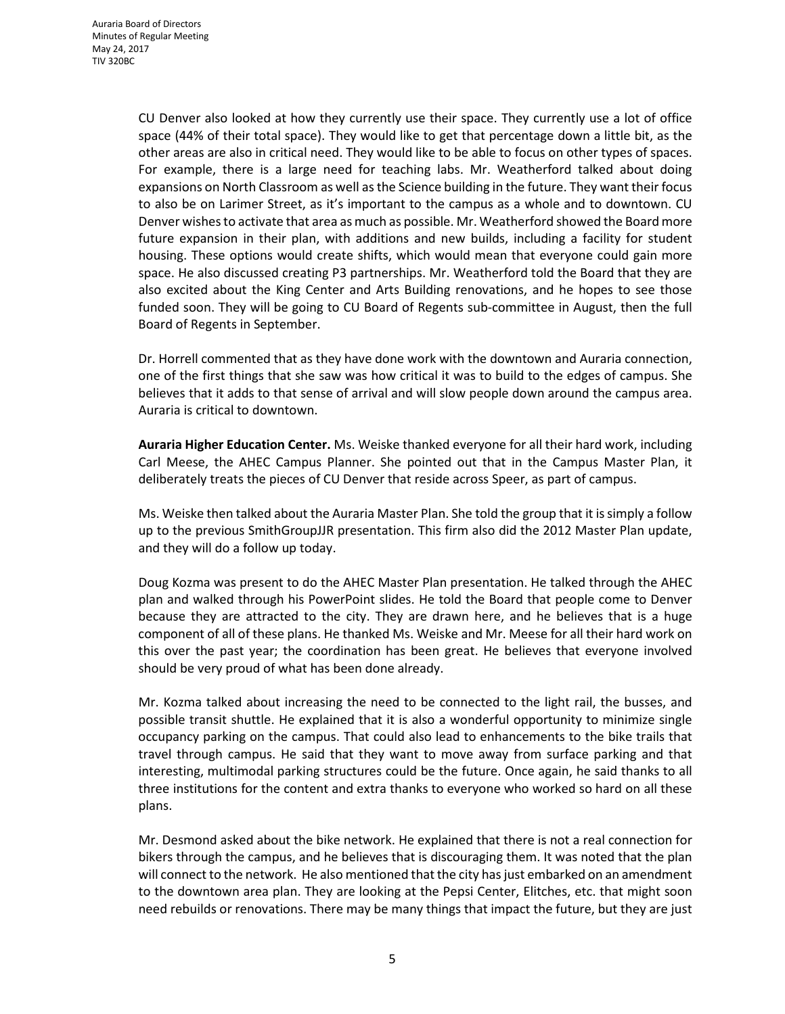CU Denver also looked at how they currently use their space. They currently use a lot of office space (44% of their total space). They would like to get that percentage down a little bit, as the other areas are also in critical need. They would like to be able to focus on other types of spaces. For example, there is a large need for teaching labs. Mr. Weatherford talked about doing expansions on North Classroom as well as the Science building in the future. They want their focus to also be on Larimer Street, as it's important to the campus as a whole and to downtown. CU Denver wishesto activate that area as much as possible. Mr. Weatherford showed the Board more future expansion in their plan, with additions and new builds, including a facility for student housing. These options would create shifts, which would mean that everyone could gain more space. He also discussed creating P3 partnerships. Mr. Weatherford told the Board that they are also excited about the King Center and Arts Building renovations, and he hopes to see those funded soon. They will be going to CU Board of Regents sub-committee in August, then the full Board of Regents in September.

Dr. Horrell commented that as they have done work with the downtown and Auraria connection, one of the first things that she saw was how critical it was to build to the edges of campus. She believes that it adds to that sense of arrival and will slow people down around the campus area. Auraria is critical to downtown.

**Auraria Higher Education Center.** Ms. Weiske thanked everyone for all their hard work, including Carl Meese, the AHEC Campus Planner. She pointed out that in the Campus Master Plan, it deliberately treats the pieces of CU Denver that reside across Speer, as part of campus.

Ms. Weiske then talked about the Auraria Master Plan. She told the group that it is simply a follow up to the previous SmithGroupJJR presentation. This firm also did the 2012 Master Plan update, and they will do a follow up today.

Doug Kozma was present to do the AHEC Master Plan presentation. He talked through the AHEC plan and walked through his PowerPoint slides. He told the Board that people come to Denver because they are attracted to the city. They are drawn here, and he believes that is a huge component of all of these plans. He thanked Ms. Weiske and Mr. Meese for all their hard work on this over the past year; the coordination has been great. He believes that everyone involved should be very proud of what has been done already.

Mr. Kozma talked about increasing the need to be connected to the light rail, the busses, and possible transit shuttle. He explained that it is also a wonderful opportunity to minimize single occupancy parking on the campus. That could also lead to enhancements to the bike trails that travel through campus. He said that they want to move away from surface parking and that interesting, multimodal parking structures could be the future. Once again, he said thanks to all three institutions for the content and extra thanks to everyone who worked so hard on all these plans.

Mr. Desmond asked about the bike network. He explained that there is not a real connection for bikers through the campus, and he believes that is discouraging them. It was noted that the plan will connect to the network. He also mentioned that the city has just embarked on an amendment to the downtown area plan. They are looking at the Pepsi Center, Elitches, etc. that might soon need rebuilds or renovations. There may be many things that impact the future, but they are just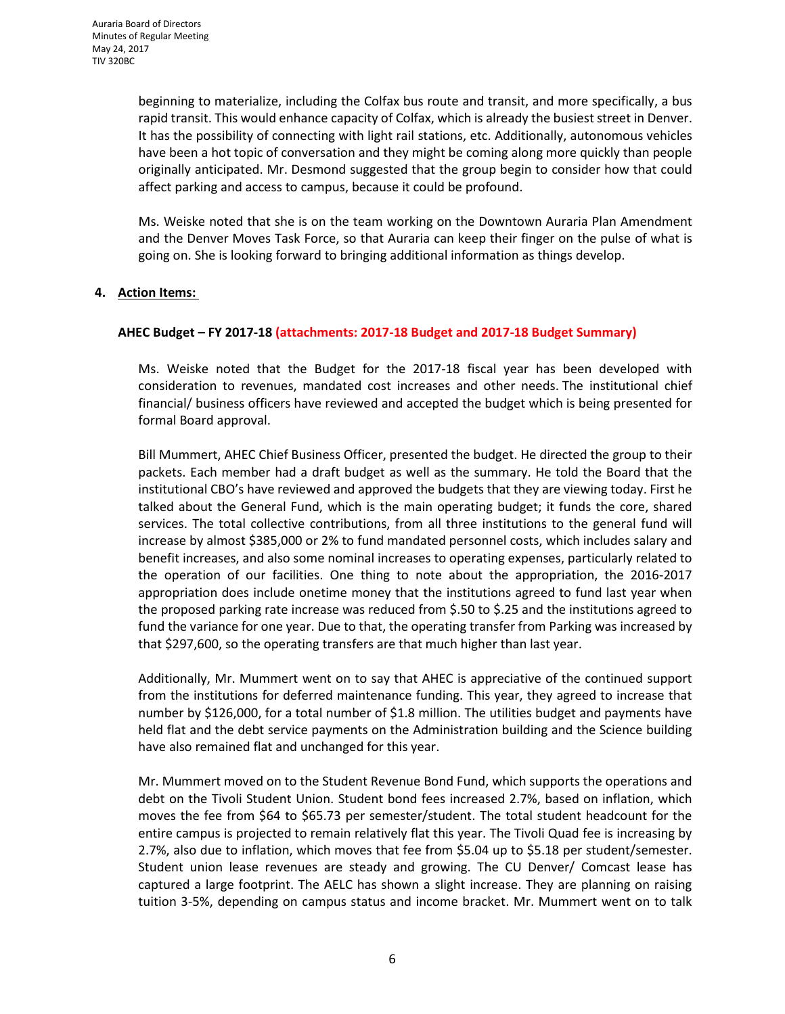beginning to materialize, including the Colfax bus route and transit, and more specifically, a bus rapid transit. This would enhance capacity of Colfax, which is already the busiest street in Denver. It has the possibility of connecting with light rail stations, etc. Additionally, autonomous vehicles have been a hot topic of conversation and they might be coming along more quickly than people originally anticipated. Mr. Desmond suggested that the group begin to consider how that could affect parking and access to campus, because it could be profound.

Ms. Weiske noted that she is on the team working on the Downtown Auraria Plan Amendment and the Denver Moves Task Force, so that Auraria can keep their finger on the pulse of what is going on. She is looking forward to bringing additional information as things develop.

## **4. Action Items:**

## **AHEC Budget – FY 2017-18 (attachments: 2017-18 Budget and 2017-18 Budget Summary)**

Ms. Weiske noted that the Budget for the 2017-18 fiscal year has been developed with consideration to revenues, mandated cost increases and other needs. The institutional chief financial/ business officers have reviewed and accepted the budget which is being presented for formal Board approval.

Bill Mummert, AHEC Chief Business Officer, presented the budget. He directed the group to their packets. Each member had a draft budget as well as the summary. He told the Board that the institutional CBO's have reviewed and approved the budgets that they are viewing today. First he talked about the General Fund, which is the main operating budget; it funds the core, shared services. The total collective contributions, from all three institutions to the general fund will increase by almost \$385,000 or 2% to fund mandated personnel costs, which includes salary and benefit increases, and also some nominal increases to operating expenses, particularly related to the operation of our facilities. One thing to note about the appropriation, the 2016-2017 appropriation does include onetime money that the institutions agreed to fund last year when the proposed parking rate increase was reduced from \$.50 to \$.25 and the institutions agreed to fund the variance for one year. Due to that, the operating transfer from Parking was increased by that \$297,600, so the operating transfers are that much higher than last year.

Additionally, Mr. Mummert went on to say that AHEC is appreciative of the continued support from the institutions for deferred maintenance funding. This year, they agreed to increase that number by \$126,000, for a total number of \$1.8 million. The utilities budget and payments have held flat and the debt service payments on the Administration building and the Science building have also remained flat and unchanged for this year.

Mr. Mummert moved on to the Student Revenue Bond Fund, which supports the operations and debt on the Tivoli Student Union. Student bond fees increased 2.7%, based on inflation, which moves the fee from \$64 to \$65.73 per semester/student. The total student headcount for the entire campus is projected to remain relatively flat this year. The Tivoli Quad fee is increasing by 2.7%, also due to inflation, which moves that fee from \$5.04 up to \$5.18 per student/semester. Student union lease revenues are steady and growing. The CU Denver/ Comcast lease has captured a large footprint. The AELC has shown a slight increase. They are planning on raising tuition 3-5%, depending on campus status and income bracket. Mr. Mummert went on to talk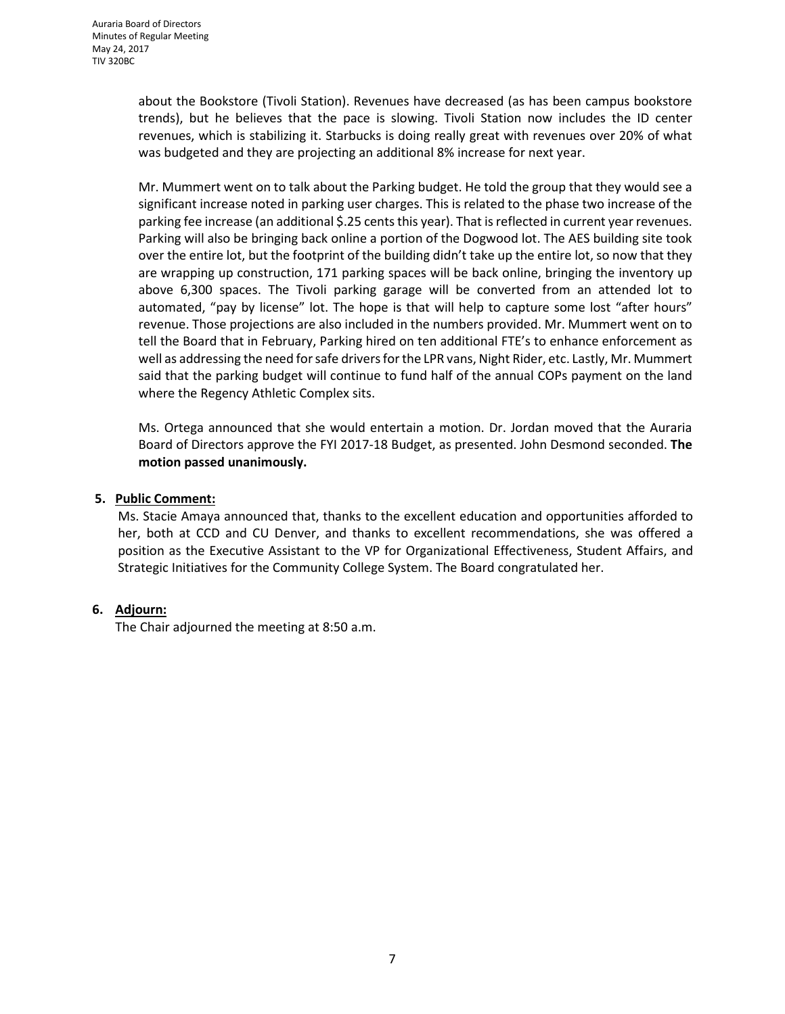about the Bookstore (Tivoli Station). Revenues have decreased (as has been campus bookstore trends), but he believes that the pace is slowing. Tivoli Station now includes the ID center revenues, which is stabilizing it. Starbucks is doing really great with revenues over 20% of what was budgeted and they are projecting an additional 8% increase for next year.

Mr. Mummert went on to talk about the Parking budget. He told the group that they would see a significant increase noted in parking user charges. This is related to the phase two increase of the parking fee increase (an additional \$.25 cents this year). That is reflected in current year revenues. Parking will also be bringing back online a portion of the Dogwood lot. The AES building site took over the entire lot, but the footprint of the building didn't take up the entire lot, so now that they are wrapping up construction, 171 parking spaces will be back online, bringing the inventory up above 6,300 spaces. The Tivoli parking garage will be converted from an attended lot to automated, "pay by license" lot. The hope is that will help to capture some lost "after hours" revenue. Those projections are also included in the numbers provided. Mr. Mummert went on to tell the Board that in February, Parking hired on ten additional FTE's to enhance enforcement as well as addressing the need for safe drivers for the LPR vans, Night Rider, etc. Lastly, Mr. Mummert said that the parking budget will continue to fund half of the annual COPs payment on the land where the Regency Athletic Complex sits.

Ms. Ortega announced that she would entertain a motion. Dr. Jordan moved that the Auraria Board of Directors approve the FYI 2017-18 Budget, as presented. John Desmond seconded. **The motion passed unanimously.**

## **5. Public Comment:**

Ms. Stacie Amaya announced that, thanks to the excellent education and opportunities afforded to her, both at CCD and CU Denver, and thanks to excellent recommendations, she was offered a position as the Executive Assistant to the VP for Organizational Effectiveness, Student Affairs, and Strategic Initiatives for the Community College System. The Board congratulated her.

## **6. Adjourn:**

The Chair adjourned the meeting at 8:50 a.m.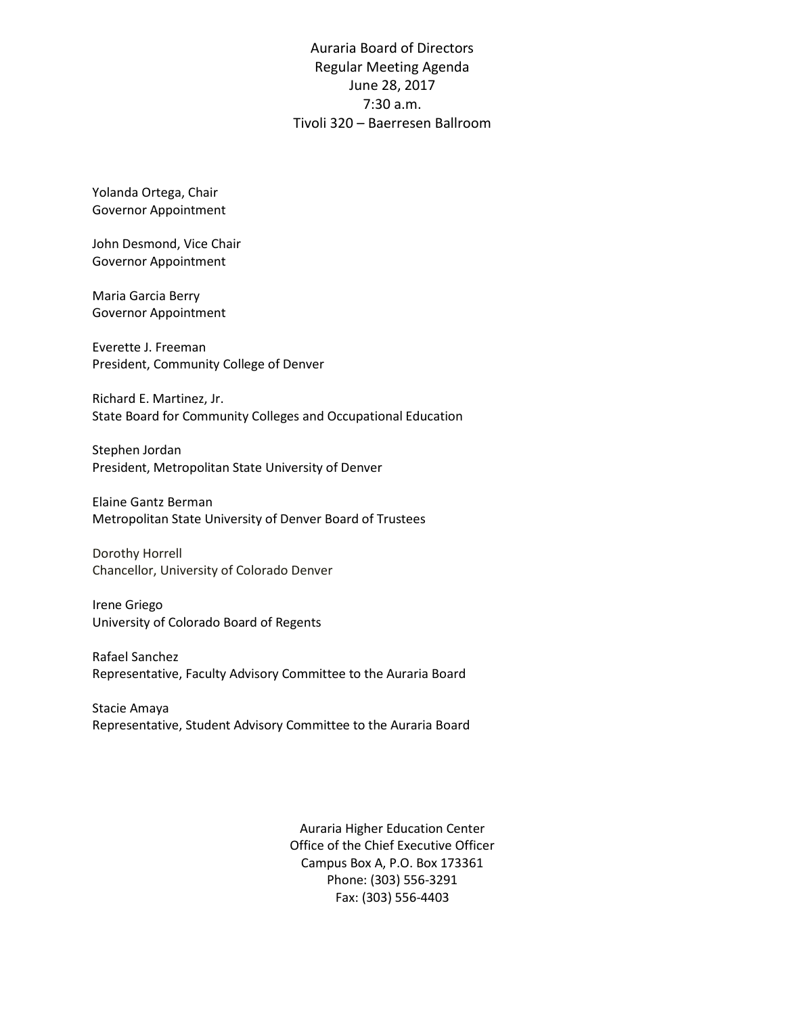Auraria Board of Directors Regular Meeting Agenda June 28, 2017 7:30 a.m. Tivoli 320 – Baerresen Ballroom

Yolanda Ortega, Chair Governor Appointment

John Desmond, Vice Chair Governor Appointment

Maria Garcia Berry Governor Appointment

Everette J. Freeman President, Community College of Denver

Richard E. Martinez, Jr. State Board for Community Colleges and Occupational Education

Stephen Jordan President, Metropolitan State University of Denver

Elaine Gantz Berman Metropolitan State University of Denver Board of Trustees

Dorothy Horrell Chancellor, University of Colorado Denver

Irene Griego University of Colorado Board of Regents

Rafael Sanchez Representative, Faculty Advisory Committee to the Auraria Board

Stacie Amaya Representative, Student Advisory Committee to the Auraria Board

> Auraria Higher Education Center Office of the Chief Executive Officer Campus Box A, P.O. Box 173361 Phone: (303) 556-3291 Fax: (303) 556-4403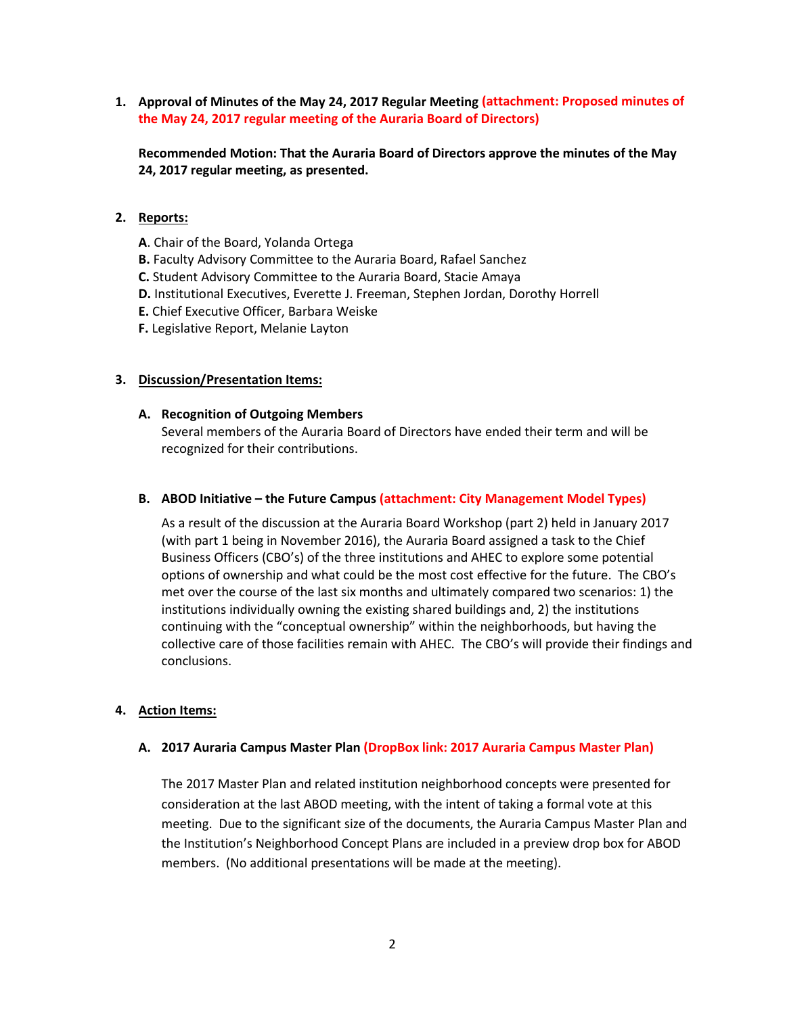**1. Approval of Minutes of the May 24, 2017 Regular Meeting (attachment: Proposed minutes of the May 24, 2017 regular meeting of the Auraria Board of Directors)**

**Recommended Motion: That the Auraria Board of Directors approve the minutes of the May 24, 2017 regular meeting, as presented.**

#### **2. Reports:**

- **A**. Chair of the Board, Yolanda Ortega
- **B.** Faculty Advisory Committee to the Auraria Board, Rafael Sanchez
- **C.** Student Advisory Committee to the Auraria Board, Stacie Amaya
- **D.** Institutional Executives, Everette J. Freeman, Stephen Jordan, Dorothy Horrell
- **E.** Chief Executive Officer, Barbara Weiske
- **F.** Legislative Report, Melanie Layton

### **3. Discussion/Presentation Items:**

#### **A. Recognition of Outgoing Members**

Several members of the Auraria Board of Directors have ended their term and will be recognized for their contributions.

#### **B. ABOD Initiative – the Future Campus (attachment: City Management Model Types)**

As a result of the discussion at the Auraria Board Workshop (part 2) held in January 2017 (with part 1 being in November 2016), the Auraria Board assigned a task to the Chief Business Officers (CBO's) of the three institutions and AHEC to explore some potential options of ownership and what could be the most cost effective for the future. The CBO's met over the course of the last six months and ultimately compared two scenarios: 1) the institutions individually owning the existing shared buildings and, 2) the institutions continuing with the "conceptual ownership" within the neighborhoods, but having the collective care of those facilities remain with AHEC. The CBO's will provide their findings and conclusions.

#### **4. Action Items:**

#### **A. 2017 Auraria Campus Master Plan (DropBox link: 2017 Auraria Campus Master Plan)**

The 2017 Master Plan and related institution neighborhood concepts were presented for consideration at the last ABOD meeting, with the intent of taking a formal vote at this meeting. Due to the significant size of the documents, the Auraria Campus Master Plan and the Institution's Neighborhood Concept Plans are included in a preview drop box for ABOD members. (No additional presentations will be made at the meeting).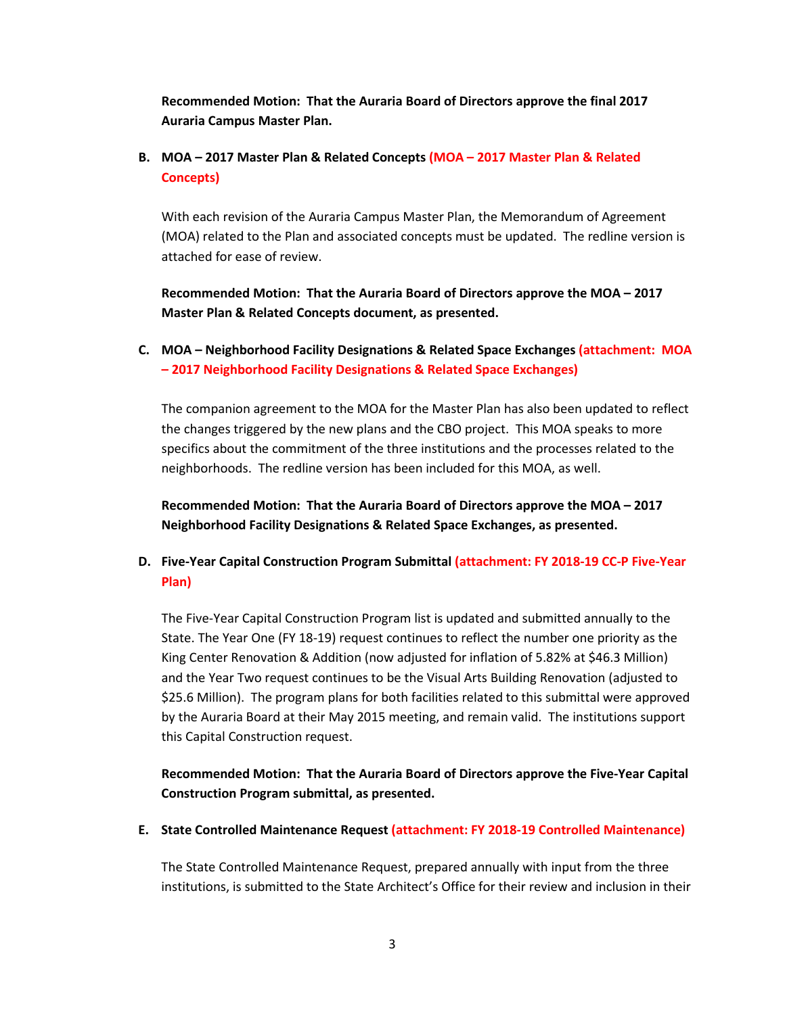**Recommended Motion: That the Auraria Board of Directors approve the final 2017 Auraria Campus Master Plan.**

# **B. MOA – 2017 Master Plan & Related Concepts (MOA – 2017 Master Plan & Related Concepts)**

With each revision of the Auraria Campus Master Plan, the Memorandum of Agreement (MOA) related to the Plan and associated concepts must be updated. The redline version is attached for ease of review.

**Recommended Motion: That the Auraria Board of Directors approve the MOA – 2017 Master Plan & Related Concepts document, as presented.**

# **C. MOA – Neighborhood Facility Designations & Related Space Exchanges (attachment: MOA – 2017 Neighborhood Facility Designations & Related Space Exchanges)**

The companion agreement to the MOA for the Master Plan has also been updated to reflect the changes triggered by the new plans and the CBO project. This MOA speaks to more specifics about the commitment of the three institutions and the processes related to the neighborhoods. The redline version has been included for this MOA, as well.

**Recommended Motion: That the Auraria Board of Directors approve the MOA – 2017 Neighborhood Facility Designations & Related Space Exchanges, as presented.**

# **D. Five-Year Capital Construction Program Submittal (attachment: FY 2018-19 CC-P Five-Year Plan)**

The Five-Year Capital Construction Program list is updated and submitted annually to the State. The Year One (FY 18-19) request continues to reflect the number one priority as the King Center Renovation & Addition (now adjusted for inflation of 5.82% at \$46.3 Million) and the Year Two request continues to be the Visual Arts Building Renovation (adjusted to \$25.6 Million). The program plans for both facilities related to this submittal were approved by the Auraria Board at their May 2015 meeting, and remain valid. The institutions support this Capital Construction request.

**Recommended Motion: That the Auraria Board of Directors approve the Five-Year Capital Construction Program submittal, as presented.**

**E. State Controlled Maintenance Request (attachment: FY 2018-19 Controlled Maintenance)**

The State Controlled Maintenance Request, prepared annually with input from the three institutions, is submitted to the State Architect's Office for their review and inclusion in their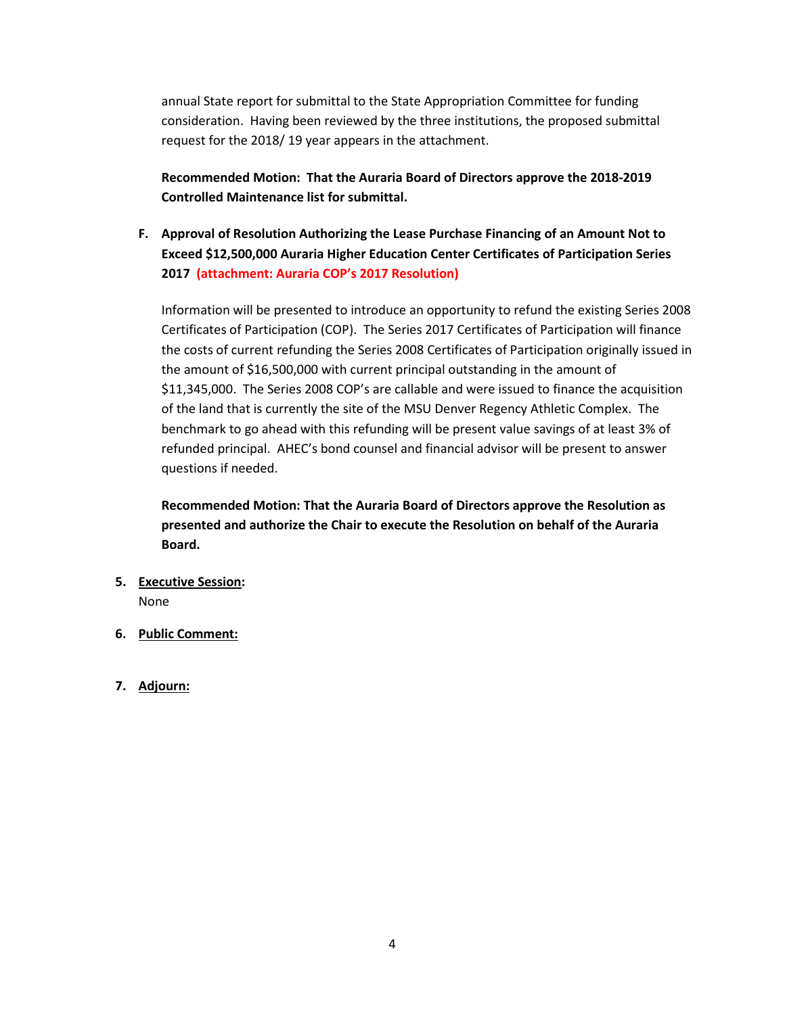annual State report for submittal to the State Appropriation Committee for funding consideration. Having been reviewed by the three institutions, the proposed submittal request for the 2018/ 19 year appears in the attachment.

**Recommended Motion: That the Auraria Board of Directors approve the 2018-2019 Controlled Maintenance list for submittal.**

**F. Approval of Resolution Authorizing the Lease Purchase Financing of an Amount Not to Exceed \$12,500,000 Auraria Higher Education Center Certificates of Participation Series 2017 (attachment: Auraria COP's 2017 Resolution)** 

Information will be presented to introduce an opportunity to refund the existing Series 2008 Certificates of Participation (COP). The Series 2017 Certificates of Participation will finance the costs of current refunding the Series 2008 Certificates of Participation originally issued in the amount of \$16,500,000 with current principal outstanding in the amount of \$11,345,000. The Series 2008 COP's are callable and were issued to finance the acquisition of the land that is currently the site of the MSU Denver Regency Athletic Complex. The benchmark to go ahead with this refunding will be present value savings of at least 3% of refunded principal. AHEC's bond counsel and financial advisor will be present to answer questions if needed.

**Recommended Motion: That the Auraria Board of Directors approve the Resolution as presented and authorize the Chair to execute the Resolution on behalf of the Auraria Board.**

- **5. Executive Session:** None
- **6. Public Comment:**
- **7. Adjourn:**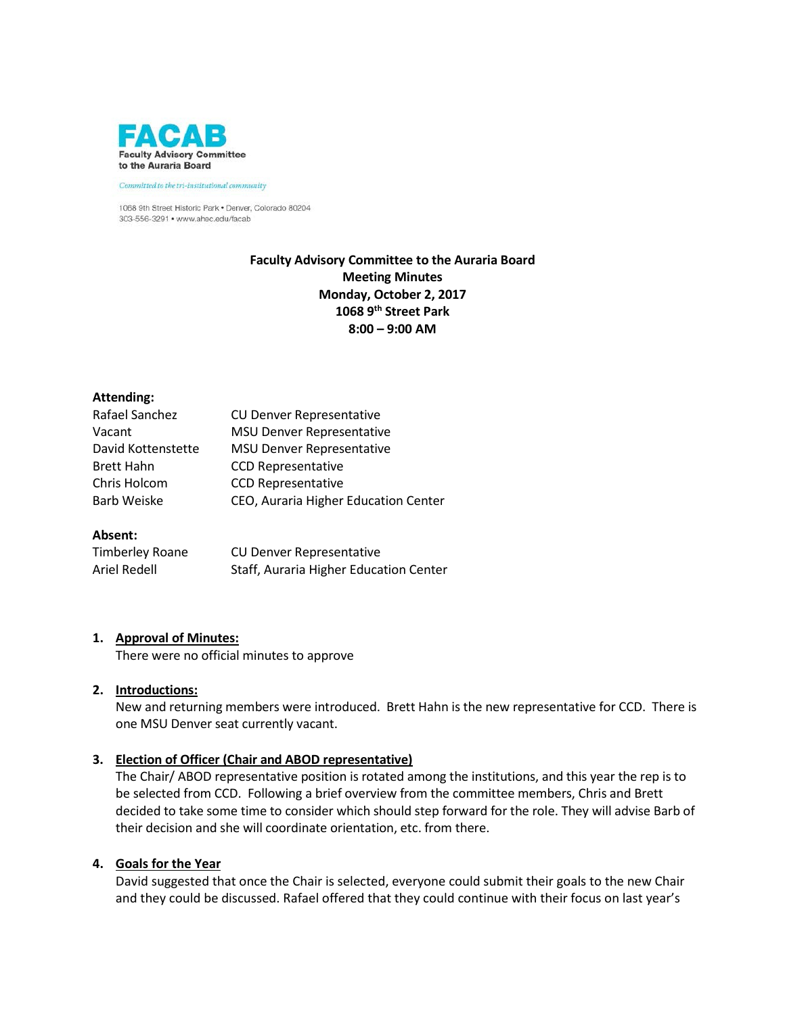

Committed to the tri-institutional community

1068 9th Street Historic Park . Denver, Colorado 80204 303-556-3291 • www.ahec.edu/facab

## **Faculty Advisory Committee to the Auraria Board Meeting Minutes Monday, October 2, 2017 1068 9th Street Park 8:00 – 9:00 AM**

#### **Attending:**

| Rafael Sanchez     | <b>CU Denver Representative</b>      |
|--------------------|--------------------------------------|
| Vacant             | <b>MSU Denver Representative</b>     |
| David Kottenstette | <b>MSU Denver Representative</b>     |
| <b>Brett Hahn</b>  | <b>CCD Representative</b>            |
| Chris Holcom       | <b>CCD Representative</b>            |
| Barb Weiske        | CEO, Auraria Higher Education Center |
|                    |                                      |

## **Absent:**

| Timberley Roane | <b>CU Denver Representative</b>        |
|-----------------|----------------------------------------|
| Ariel Redell    | Staff, Auraria Higher Education Center |

## **1. Approval of Minutes:**

There were no official minutes to approve

#### **2. Introductions:**

New and returning members were introduced. Brett Hahn is the new representative for CCD. There is one MSU Denver seat currently vacant.

## **3. Election of Officer (Chair and ABOD representative)**

The Chair/ ABOD representative position is rotated among the institutions, and this year the rep is to be selected from CCD. Following a brief overview from the committee members, Chris and Brett decided to take some time to consider which should step forward for the role. They will advise Barb of their decision and she will coordinate orientation, etc. from there.

#### **4. Goals for the Year**

David suggested that once the Chair is selected, everyone could submit their goals to the new Chair and they could be discussed. Rafael offered that they could continue with their focus on last year's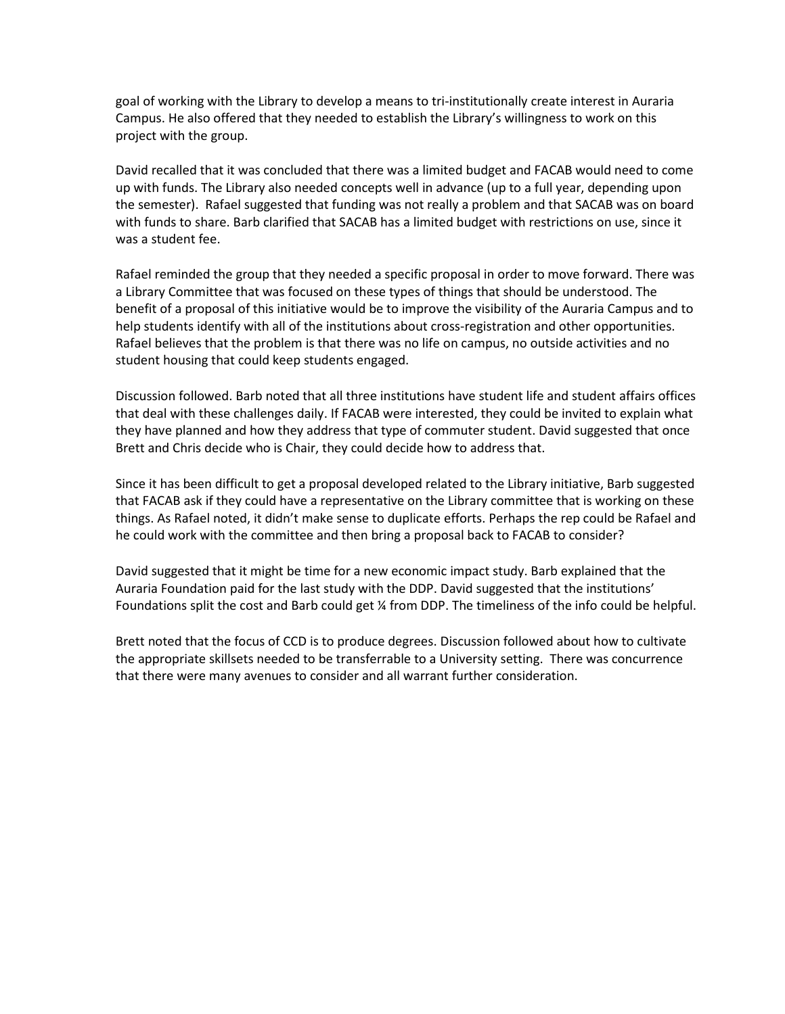goal of working with the Library to develop a means to tri-institutionally create interest in Auraria Campus. He also offered that they needed to establish the Library's willingness to work on this project with the group.

David recalled that it was concluded that there was a limited budget and FACAB would need to come up with funds. The Library also needed concepts well in advance (up to a full year, depending upon the semester). Rafael suggested that funding was not really a problem and that SACAB was on board with funds to share. Barb clarified that SACAB has a limited budget with restrictions on use, since it was a student fee.

Rafael reminded the group that they needed a specific proposal in order to move forward. There was a Library Committee that was focused on these types of things that should be understood. The benefit of a proposal of this initiative would be to improve the visibility of the Auraria Campus and to help students identify with all of the institutions about cross-registration and other opportunities. Rafael believes that the problem is that there was no life on campus, no outside activities and no student housing that could keep students engaged.

Discussion followed. Barb noted that all three institutions have student life and student affairs offices that deal with these challenges daily. If FACAB were interested, they could be invited to explain what they have planned and how they address that type of commuter student. David suggested that once Brett and Chris decide who is Chair, they could decide how to address that.

Since it has been difficult to get a proposal developed related to the Library initiative, Barb suggested that FACAB ask if they could have a representative on the Library committee that is working on these things. As Rafael noted, it didn't make sense to duplicate efforts. Perhaps the rep could be Rafael and he could work with the committee and then bring a proposal back to FACAB to consider?

David suggested that it might be time for a new economic impact study. Barb explained that the Auraria Foundation paid for the last study with the DDP. David suggested that the institutions' Foundations split the cost and Barb could get ¼ from DDP. The timeliness of the info could be helpful.

Brett noted that the focus of CCD is to produce degrees. Discussion followed about how to cultivate the appropriate skillsets needed to be transferrable to a University setting. There was concurrence that there were many avenues to consider and all warrant further consideration.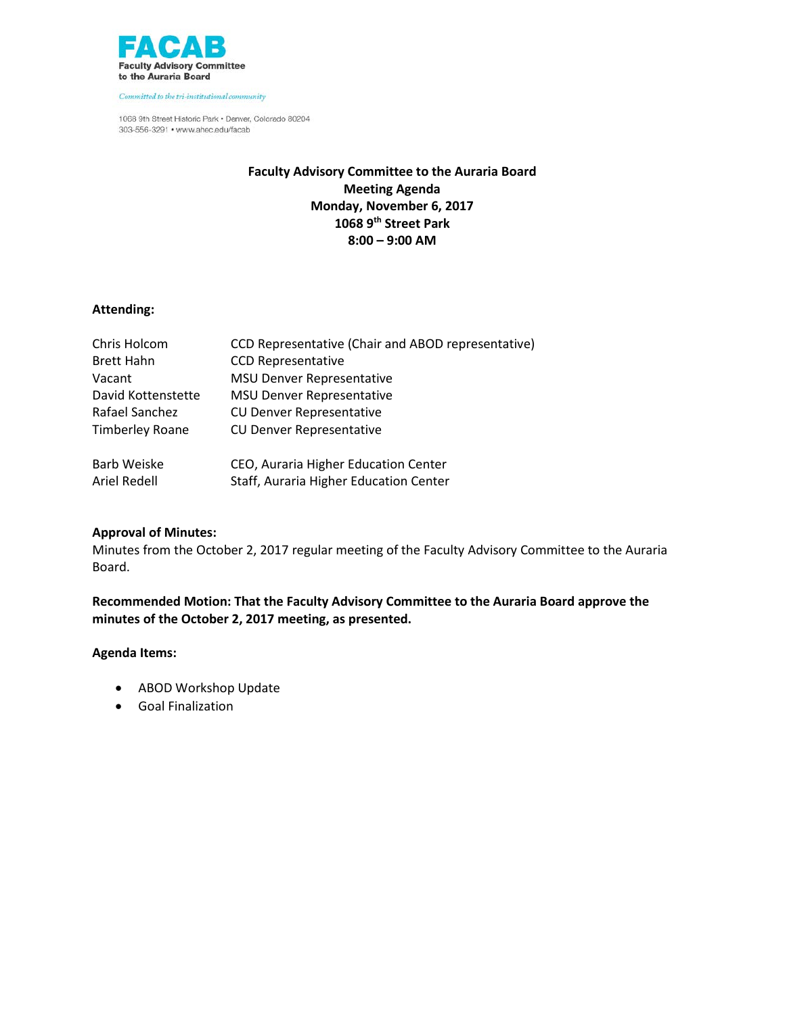

Committed to the tri-institutional community

1068 9th Street Historic Park . Denver, Colorado 80204 303-556-3291 • www.ahec.edu/facab

## **Faculty Advisory Committee to the Auraria Board Meeting Agenda Monday, November 6, 2017 1068 9th Street Park 8:00 – 9:00 AM**

## **Attending:**

| Chris Holcom           | <b>CCD Representative (Chair and ABOD representative)</b> |
|------------------------|-----------------------------------------------------------|
| <b>Brett Hahn</b>      | <b>CCD Representative</b>                                 |
| Vacant                 | <b>MSU Denver Representative</b>                          |
| David Kottenstette     | <b>MSU Denver Representative</b>                          |
| Rafael Sanchez         | <b>CU Denver Representative</b>                           |
| <b>Timberley Roane</b> | <b>CU Denver Representative</b>                           |
| <b>Barb Weiske</b>     | CEO, Auraria Higher Education Center                      |
| Ariel Redell           | Staff, Auraria Higher Education Center                    |

## **Approval of Minutes:**

Minutes from the October 2, 2017 regular meeting of the Faculty Advisory Committee to the Auraria Board.

**Recommended Motion: That the Faculty Advisory Committee to the Auraria Board approve the minutes of the October 2, 2017 meeting, as presented.**

#### **Agenda Items:**

- ABOD Workshop Update
- Goal Finalization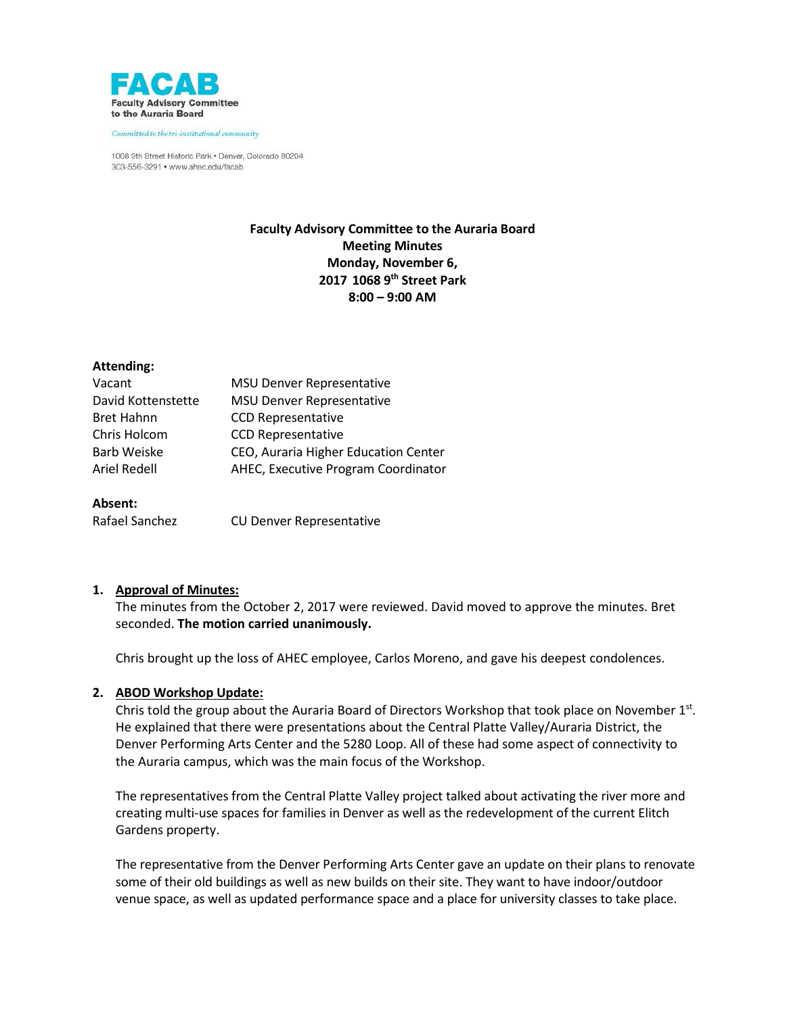

Committed to the tri-institutional community

1068 9th Street Historic Park . Denver, Colorado 80204 303-556-3291 · www.ahec.edu/facab

## **Faculty Advisory Committee to the Auraria Board Meeting Minutes Monday, November 6, 2017 1068 9th Street Park 8:00 – 9:00 AM**

#### **Attending:**

| Vacant             | <b>MSU Denver Representative</b>     |
|--------------------|--------------------------------------|
| David Kottenstette | <b>MSU Denver Representative</b>     |
| <b>Bret Hahnn</b>  | <b>CCD Representative</b>            |
| Chris Holcom       | <b>CCD Representative</b>            |
| Barb Weiske        | CEO, Auraria Higher Education Center |
| Ariel Redell       | AHEC, Executive Program Coordinator  |
|                    |                                      |

#### **Absent:**

Rafael Sanchez CU Denver Representative

#### **1. Approval of Minutes:**

The minutes from the October 2, 2017 were reviewed. David moved to approve the minutes. Bret seconded. **The motion carried unanimously.**

Chris brought up the loss of AHEC employee, Carlos Moreno, and gave his deepest condolences.

#### **2. ABOD Workshop Update:**

Chris told the group about the Auraria Board of Directors Workshop that took place on November 1st. He explained that there were presentations about the Central Platte Valley/Auraria District, the Denver Performing Arts Center and the 5280 Loop. All of these had some aspect of connectivity to the Auraria campus, which was the main focus of the Workshop.

The representatives from the Central Platte Valley project talked about activating the river more and creating multi-use spaces for families in Denver as well as the redevelopment of the current Elitch Gardens property.

The representative from the Denver Performing Arts Center gave an update on their plans to renovate some of their old buildings as well as new builds on their site. They want to have indoor/outdoor venue space, as well as updated performance space and a place for university classes to take place.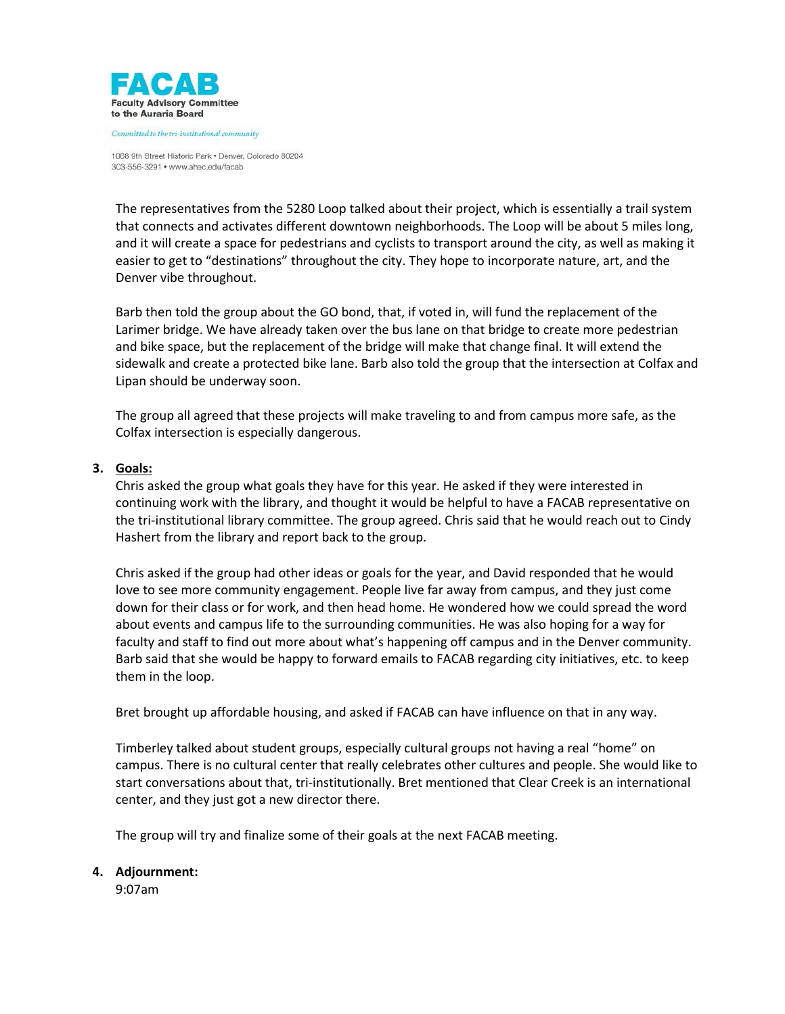

mmitted to the tri-institutional community

1068 9th Street Historic Park . Denver, Colorado 80204 303-556-3291 · www.ahec.edu/facab

The representatives from the 5280 Loop talked about their project, which is essentially a trail system that connects and activates different downtown neighborhoods. The Loop will be about 5 miles long, and it will create a space for pedestrians and cyclists to transport around the city, as well as making it easier to get to "destinations" throughout the city. They hope to incorporate nature, art, and the Denver vibe throughout.

Barb then told the group about the GO bond, that, if voted in, will fund the replacement of the Larimer bridge. We have already taken over the bus lane on that bridge to create more pedestrian and bike space, but the replacement of the bridge will make that change final. It will extend the sidewalk and create a protected bike lane. Barb also told the group that the intersection at Colfax and Lipan should be underway soon.

The group all agreed that these projects will make traveling to and from campus more safe, as the Colfax intersection is especially dangerous.

### **3. Goals:**

Chris asked the group what goals they have for this year. He asked if they were interested in continuing work with the library, and thought it would be helpful to have a FACAB representative on the tri-institutional library committee. The group agreed. Chris said that he would reach out to Cindy Hashert from the library and report back to the group.

Chris asked if the group had other ideas or goals for the year, and David responded that he would love to see more community engagement. People live far away from campus, and they just come down for their class or for work, and then head home. He wondered how we could spread the word about events and campus life to the surrounding communities. He was also hoping for a way for faculty and staff to find out more about what's happening off campus and in the Denver community. Barb said that she would be happy to forward emails to FACAB regarding city initiatives, etc. to keep them in the loop.

Bret brought up affordable housing, and asked if FACAB can have influence on that in any way.

Timberley talked about student groups, especially cultural groups not having a real "home" on campus. There is no cultural center that really celebrates other cultures and people. She would like to start conversations about that, tri-institutionally. Bret mentioned that Clear Creek is an international center, and they just got a new director there.

The group will try and finalize some of their goals at the next FACAB meeting.

#### **4. Adjournment:**

9:07am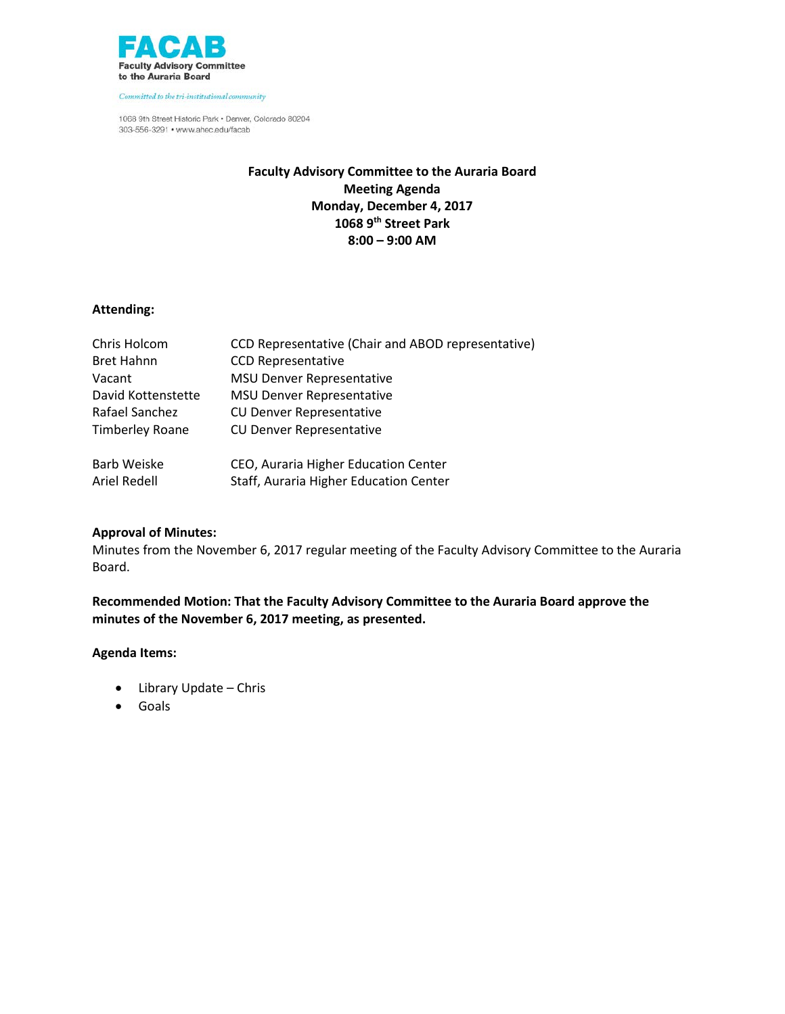

Committed to the tri-institutional community

1068 9th Street Historic Park . Denver, Colorado 80204 303-556-3291 • www.ahec.edu/facab

## **Faculty Advisory Committee to the Auraria Board Meeting Agenda Monday, December 4, 2017 1068 9th Street Park 8:00 – 9:00 AM**

## **Attending:**

| Chris Holcom           | <b>CCD Representative (Chair and ABOD representative)</b> |
|------------------------|-----------------------------------------------------------|
| <b>Bret Hahnn</b>      | <b>CCD Representative</b>                                 |
| Vacant                 | <b>MSU Denver Representative</b>                          |
| David Kottenstette     | <b>MSU Denver Representative</b>                          |
| Rafael Sanchez         | <b>CU Denver Representative</b>                           |
| <b>Timberley Roane</b> | <b>CU Denver Representative</b>                           |
| <b>Barb Weiske</b>     | CEO, Auraria Higher Education Center                      |
| Ariel Redell           | Staff, Auraria Higher Education Center                    |

## **Approval of Minutes:**

Minutes from the November 6, 2017 regular meeting of the Faculty Advisory Committee to the Auraria Board.

**Recommended Motion: That the Faculty Advisory Committee to the Auraria Board approve the minutes of the November 6, 2017 meeting, as presented.**

## **Agenda Items:**

- Library Update Chris
- Goals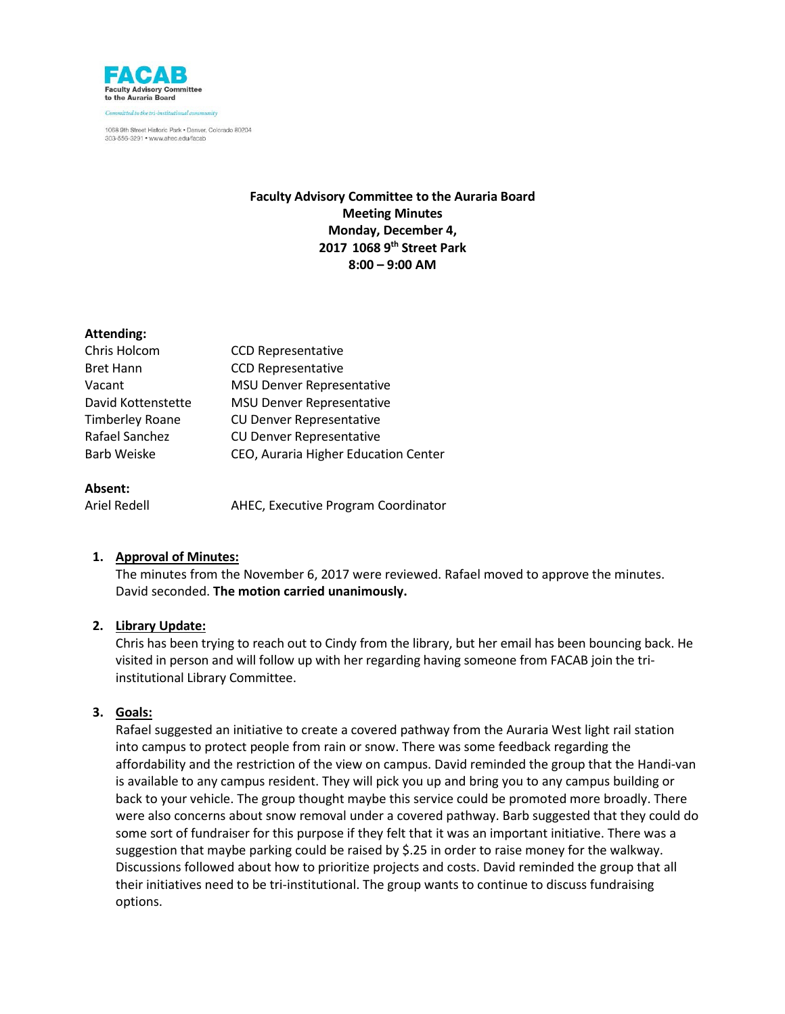

1068 9th Street Historic Park . Denver, Colorado 80204 303-556-3291 · www.ahec.edu/facab

## **Faculty Advisory Committee to the Auraria Board Meeting Minutes Monday, December 4, 2017 1068 9th Street Park 8:00 – 9:00 AM**

### **Attending:**

| Chris Holcom       | <b>CCD Representative</b>            |
|--------------------|--------------------------------------|
| <b>Bret Hann</b>   | <b>CCD Representative</b>            |
| Vacant             | <b>MSU Denver Representative</b>     |
| David Kottenstette | <b>MSU Denver Representative</b>     |
| Timberley Roane    | <b>CU Denver Representative</b>      |
| Rafael Sanchez     | <b>CU Denver Representative</b>      |
| Barb Weiske        | CEO, Auraria Higher Education Center |
|                    |                                      |

#### **Absent:**

Ariel Redell AHEC, Executive Program Coordinator

## **1. Approval of Minutes:**

The minutes from the November 6, 2017 were reviewed. Rafael moved to approve the minutes. David seconded. **The motion carried unanimously.**

## **2. Library Update:**

Chris has been trying to reach out to Cindy from the library, but her email has been bouncing back. He visited in person and will follow up with her regarding having someone from FACAB join the triinstitutional Library Committee.

### **3. Goals:**

Rafael suggested an initiative to create a covered pathway from the Auraria West light rail station into campus to protect people from rain or snow. There was some feedback regarding the affordability and the restriction of the view on campus. David reminded the group that the Handi-van is available to any campus resident. They will pick you up and bring you to any campus building or back to your vehicle. The group thought maybe this service could be promoted more broadly. There were also concerns about snow removal under a covered pathway. Barb suggested that they could do some sort of fundraiser for this purpose if they felt that it was an important initiative. There was a suggestion that maybe parking could be raised by \$.25 in order to raise money for the walkway. Discussions followed about how to prioritize projects and costs. David reminded the group that all their initiatives need to be tri-institutional. The group wants to continue to discuss fundraising options.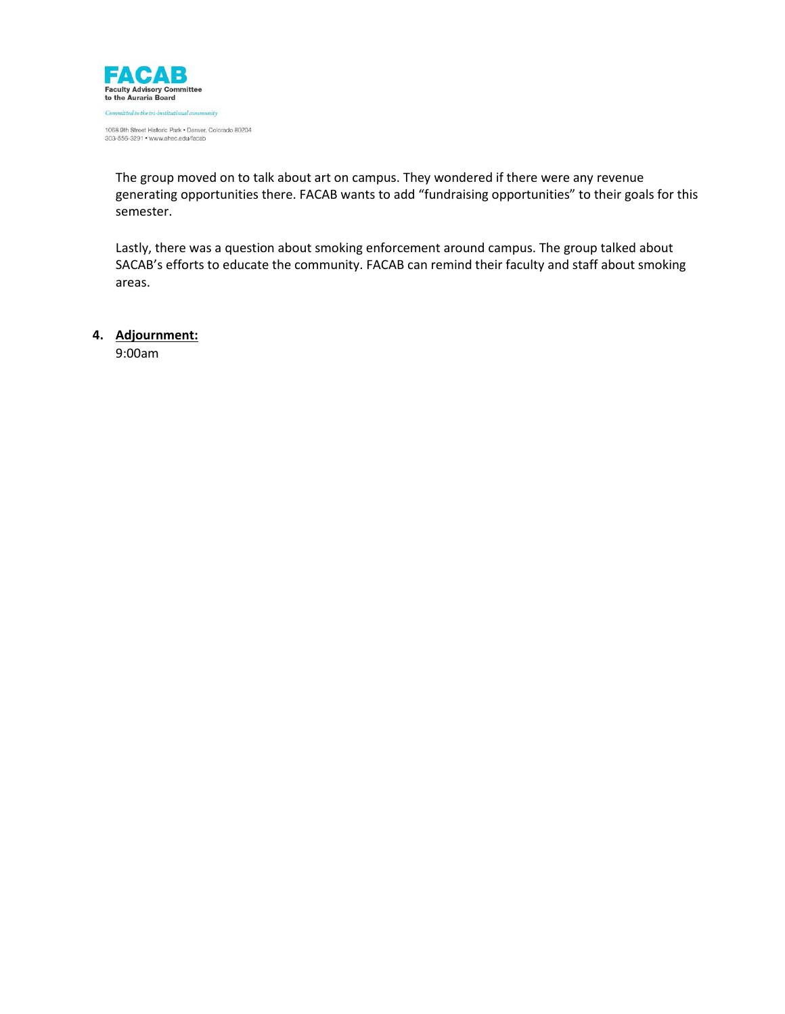

1068 9th Street Historic Park . Denver, Colorado 80204 303-556-3291 • www.ahec.edu/facab

The group moved on to talk about art on campus. They wondered if there were any revenue generating opportunities there. FACAB wants to add "fundraising opportunities" to their goals for this semester.

Lastly, there was a question about smoking enforcement around campus. The group talked about SACAB's efforts to educate the community. FACAB can remind their faculty and staff about smoking areas.

**4. Adjournment:**

9:00am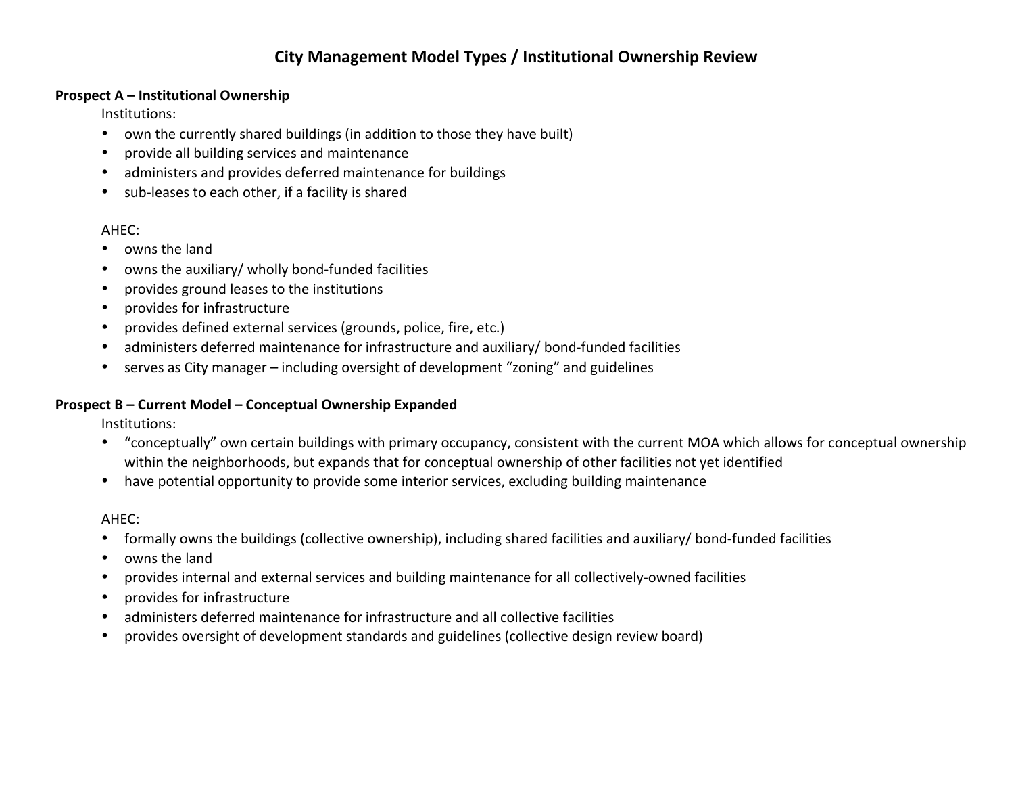# **City Management Model Types / Institutional Ownership Review**

## **Prospect A – Institutional Ownership**

Institutions:

- own the currently shared buildings (in addition to those they have built)
- provide all building services and maintenance
- administers and provides deferred maintenance for buildings
- sub-leases to each other, if a facility is shared

# AHEC:

- owns the land
- owns the auxiliary/ wholly bond-funded facilities
- provides ground leases to the institutions
- provides for infrastructure
- provides defined external services (grounds, police, fire, etc.)
- administers deferred maintenance for infrastructure and auxiliary/ bond-funded facilities
- serves as City manager including oversight of development "zoning" and guidelines

# **Prospect B – Current Model – Conceptual Ownership Expanded**

Institutions:

- "conceptually" own certain buildings with primary occupancy, consistent with the current MOA which allows for conceptual ownership within the neighborhoods, but expands that for conceptual ownership of other facilities not yet identified
- have potential opportunity to provide some interior services, excluding building maintenance

# AHEC:

- formally owns the buildings (collective ownership), including shared facilities and auxiliary/ bond-funded facilities
- owns the land
- provides internal and external services and building maintenance for all collectively-owned facilities
- provides for infrastructure
- administers deferred maintenance for infrastructure and all collective facilities
- provides oversight of development standards and guidelines (collective design review board)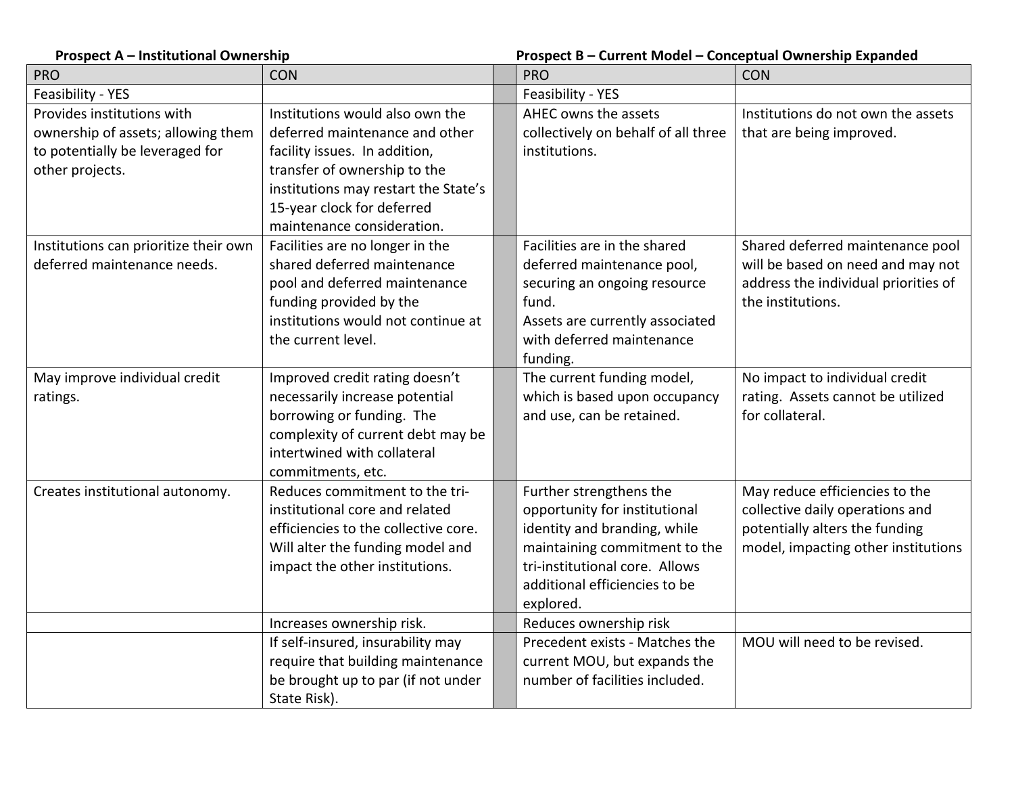| <b>Prospect A - Institutional Ownership</b> |                                      | Prospect B - Current Model - Conceptual Ownership Expanded |                                      |  |
|---------------------------------------------|--------------------------------------|------------------------------------------------------------|--------------------------------------|--|
| <b>PRO</b>                                  | <b>CON</b>                           | <b>PRO</b>                                                 | <b>CON</b>                           |  |
| Feasibility - YES                           |                                      | Feasibility - YES                                          |                                      |  |
| Provides institutions with                  | Institutions would also own the      | AHEC owns the assets                                       | Institutions do not own the assets   |  |
| ownership of assets; allowing them          | deferred maintenance and other       | collectively on behalf of all three                        | that are being improved.             |  |
| to potentially be leveraged for             | facility issues. In addition,        | institutions.                                              |                                      |  |
| other projects.                             | transfer of ownership to the         |                                                            |                                      |  |
|                                             | institutions may restart the State's |                                                            |                                      |  |
|                                             | 15-year clock for deferred           |                                                            |                                      |  |
|                                             | maintenance consideration.           |                                                            |                                      |  |
| Institutions can prioritize their own       | Facilities are no longer in the      | Facilities are in the shared                               | Shared deferred maintenance pool     |  |
| deferred maintenance needs.                 | shared deferred maintenance          | deferred maintenance pool,                                 | will be based on need and may not    |  |
|                                             | pool and deferred maintenance        | securing an ongoing resource                               | address the individual priorities of |  |
|                                             | funding provided by the              | fund.                                                      | the institutions.                    |  |
|                                             | institutions would not continue at   | Assets are currently associated                            |                                      |  |
|                                             | the current level.                   | with deferred maintenance                                  |                                      |  |
|                                             |                                      | funding.                                                   |                                      |  |
| May improve individual credit               | Improved credit rating doesn't       | The current funding model,                                 | No impact to individual credit       |  |
| ratings.                                    | necessarily increase potential       | which is based upon occupancy                              | rating. Assets cannot be utilized    |  |
|                                             | borrowing or funding. The            | and use, can be retained.                                  | for collateral.                      |  |
|                                             | complexity of current debt may be    |                                                            |                                      |  |
|                                             | intertwined with collateral          |                                                            |                                      |  |
|                                             | commitments, etc.                    |                                                            |                                      |  |
| Creates institutional autonomy.             | Reduces commitment to the tri-       | Further strengthens the                                    | May reduce efficiencies to the       |  |
|                                             | institutional core and related       | opportunity for institutional                              | collective daily operations and      |  |
|                                             | efficiencies to the collective core. | identity and branding, while                               | potentially alters the funding       |  |
|                                             | Will alter the funding model and     | maintaining commitment to the                              | model, impacting other institutions  |  |
|                                             | impact the other institutions.       | tri-institutional core. Allows                             |                                      |  |
|                                             |                                      | additional efficiencies to be                              |                                      |  |
|                                             |                                      | explored.                                                  |                                      |  |
|                                             | Increases ownership risk.            | Reduces ownership risk                                     |                                      |  |
|                                             | If self-insured, insurability may    | Precedent exists - Matches the                             | MOU will need to be revised.         |  |
|                                             | require that building maintenance    | current MOU, but expands the                               |                                      |  |
|                                             | be brought up to par (if not under   | number of facilities included.                             |                                      |  |
|                                             | State Risk).                         |                                                            |                                      |  |